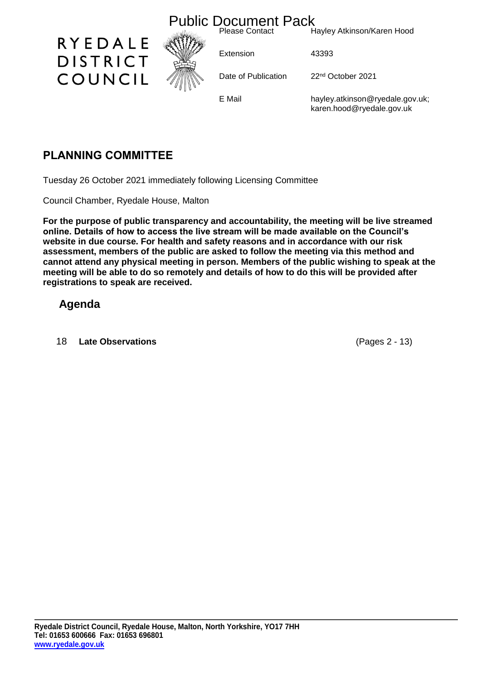

# **PLANNING COMMITTEE**

Tuesday 26 October 2021 immediately following Licensing Committee

Council Chamber, Ryedale House, Malton

**For the purpose of public transparency and accountability, the meeting will be live streamed online. Details of how to access the live stream will be made available on the Council's website in due course. For health and safety reasons and in accordance with our risk assessment, members of the public are asked to follow the meeting via this method and cannot attend any physical meeting in person. Members of the public wishing to speak at the meeting will be able to do so remotely and details of how to do this will be provided after registrations to speak are received.**

### **Agenda**

18 **Late Observations** (Pages 2 - 13)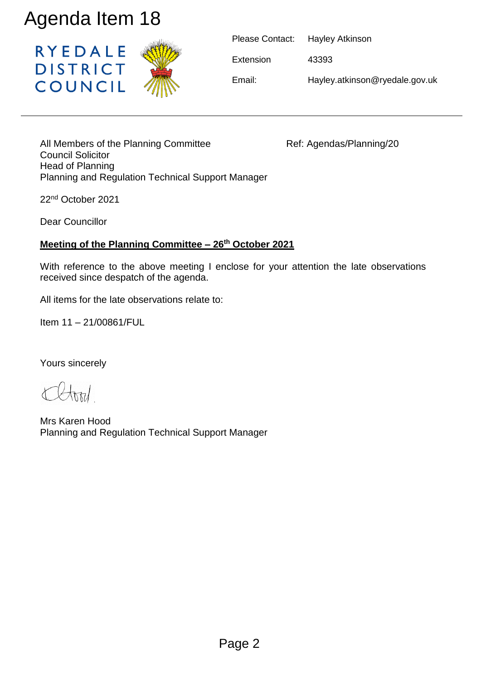

|           | Please Contact: Hayley Atkinson |
|-----------|---------------------------------|
| Extension | 43393                           |
| Email:    | Hayley.atkinson@ryedale.gov.uk  |

All Members of the Planning Committee Ref: Agendas/Planning/20 Council Solicitor Head of Planning Planning and Regulation Technical Support Manager Agenda Item 18<br>
RYEDALE<br>
DISTRICT<br>
COUNCIL<br>
All Members of the Planning Committee<br>
Head of Planning<br>
Planning and Regulation Technical Support Manag<br>
22<sup>rd</sup> October 2021<br>
Dear Councillor<br>
Meeting of the Planning Committee

22nd October 2021

Dear Councillor

### **Meeting of the Planning Committee – 26th October 2021**

With reference to the above meeting I enclose for your attention the late observations received since despatch of the agenda.

All items for the late observations relate to:

Item 11 – 21/00861/FUL

Yours sincerely

Mrs Karen Hood Planning and Regulation Technical Support Manager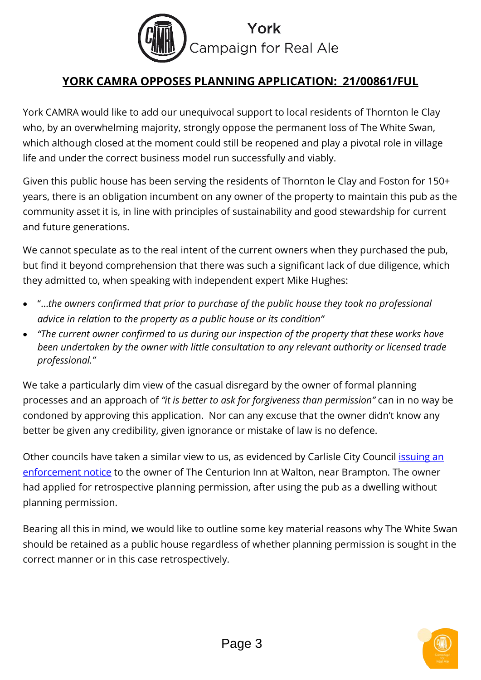

# **YORK CAMRA OPPOSES PLANNING APPLICATION: 21/00861/FUL**

York CAMRA would like to add our unequivocal support to local residents of Thornton le Clay who, by an overwhelming majority, strongly oppose the permanent loss of The White Swan, which although closed at the moment could still be reopened and play a pivotal role in village life and under the correct business model run successfully and viably.

Given this public house has been serving the residents of Thornton le Clay and Foston for 150+ years, there is an obligation incumbent on any owner of the property to maintain this pub as the community asset it is, in line with principles of sustainability and good stewardship for current and future generations.

We cannot speculate as to the real intent of the current owners when they purchased the pub, but find it beyond comprehension that there was such a significant lack of due diligence, which they admitted to, when speaking with independent expert Mike Hughes:

- "…*the owners confirmed that prior to purchase of the public house they took no professional advice in relation to the property as a public house or its condition"*
- *"The current owner confirmed to us during our inspection of the property that these works have been undertaken by the owner with little consultation to any relevant authority or licensed trade professional."*

We take a particularly dim view of the casual disregard by the owner of formal planning processes and an approach of *"it is better to ask for forgiveness than permission"* can in no way be condoned by approving this application. Nor can any excuse that the owner didn't know any better be given any credibility, given ignorance or mistake of law is no defence.

Other councils have taken a similar view to us, as evidenced by Carlisle City Council issuing an [enforcement notice](https://www.newsandstar.co.uk/news/16701749.man-ordered-to-turn-his-home-back-into-village-pub/) to the owner of The Centurion Inn at Walton, near Brampton. The owner had applied for retrospective planning permission, after using the pub as a dwelling without planning permission.

Bearing all this in mind, we would like to outline some key material reasons why The White Swan should be retained as a public house regardless of whether planning permission is sought in the correct manner or in this case retrospectively.

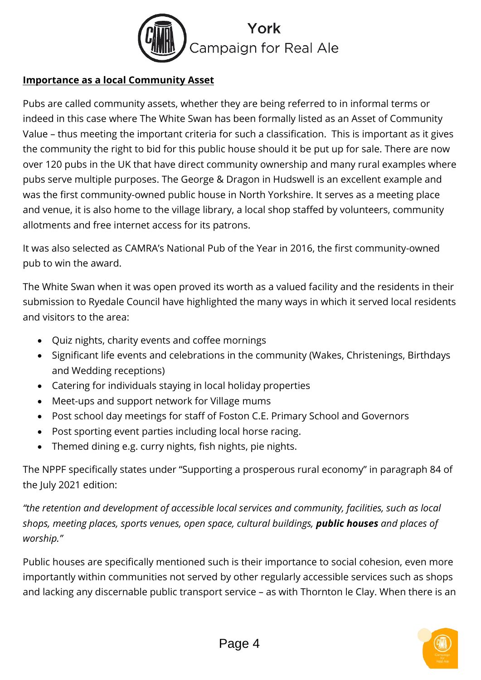

### **Importance as a local Community Asset**

Pubs are called community assets, whether they are being referred to in informal terms or indeed in this case where The White Swan has been formally listed as an Asset of Community Value – thus meeting the important criteria for such a classification. This is important as it gives the community the right to bid for this public house should it be put up for sale. There are now over 120 pubs in the UK that have direct community ownership and many rural examples where pubs serve multiple purposes. The George & Dragon in Hudswell is an excellent example and was the first community-owned public house in North Yorkshire. It serves as a meeting place and venue, it is also home to the village library, a local shop staffed by volunteers, community allotments and free internet access for its patrons.

It was also selected as CAMRA's National Pub of the Year in 2016, the first community-owned pub to win the award.

The White Swan when it was open proved its worth as a valued facility and the residents in their submission to Ryedale Council have highlighted the many ways in which it served local residents and visitors to the area:

- Quiz nights, charity events and coffee mornings
- Significant life events and celebrations in the community (Wakes, Christenings, Birthdays and Wedding receptions)
- Catering for individuals staying in local holiday properties
- Meet-ups and support network for Village mums
- Post school day meetings for staff of Foston C.E. Primary School and Governors
- Post sporting event parties including local horse racing.
- Themed dining e.g. curry nights, fish nights, pie nights.

The NPPF specifically states under "Supporting a prosperous rural economy" in paragraph 84 of the July 2021 edition:

*"the retention and development of accessible local services and community, facilities, such as local shops, meeting places, sports venues, open space, cultural buildings, public houses and places of worship."*

Public houses are specifically mentioned such is their importance to social cohesion, even more importantly within communities not served by other regularly accessible services such as shops and lacking any discernable public transport service – as with Thornton le Clay. When there is an

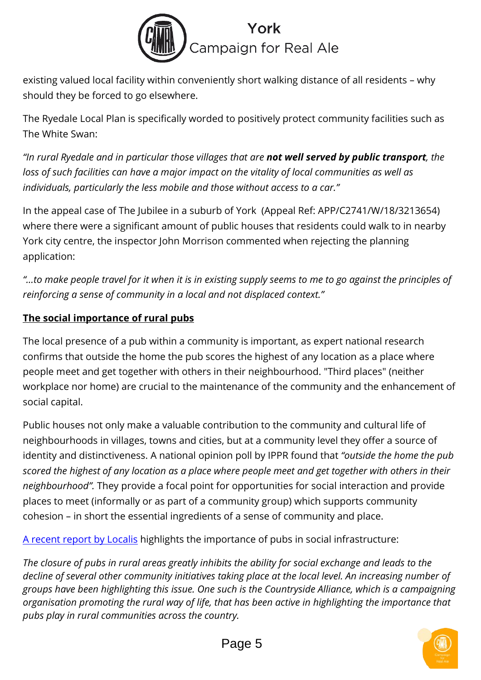

existing valued local facility within conveniently short walking distance of all residents – why should they be forced to go elsewhere.

The Ryedale Local Plan is specifically worded to positively protect community facilities such as The White Swan:

*"In rural Ryedale and in particular those villages that are not well served by public transport, the loss of such facilities can have a major impact on the vitality of local communities as well as individuals, particularly the less mobile and those without access to a car."*

In the appeal case of The Jubilee in a suburb of York (Appeal Ref: APP/C2741/W/18/3213654) where there were a significant amount of public houses that residents could walk to in nearby York city centre, the inspector John Morrison commented when rejecting the planning application:

*"…to make people travel for it when it is in existing supply seems to me to go against the principles of reinforcing a sense of community in a local and not displaced context."*

### **The social importance of rural pubs**

The local presence of a pub within a community is important, as expert national research confirms that outside the home the pub scores the highest of any location as a place where people meet and get together with others in their neighbourhood. "Third places" (neither workplace nor home) are crucial to the maintenance of the community and the enhancement of social capital.

Public houses not only make a valuable contribution to the community and cultural life of neighbourhoods in villages, towns and cities, but at a community level they offer a source of identity and distinctiveness. A national opinion poll by IPPR found that *"outside the home the pub scored the highest of any location as a place where people meet and get together with others in their neighbourhood".* They provide a focal point for opportunities for social interaction and provide places to meet (informally or as part of a community group) which supports community cohesion – in short the essential ingredients of a sense of community and place.

[A recent report by Localis](https://www.localis.org.uk/research/the-power-of-pubs/) highlights the importance of pubs in social infrastructure:

*The closure of pubs in rural areas greatly inhibits the ability for social exchange and leads to the decline of several other community initiatives taking place at the local level. An increasing number of groups have been highlighting this issue. One such is the Countryside Alliance, which is a campaigning organisation promoting the rural way of life, that has been active in highlighting the importance that pubs play in rural communities across the country.*

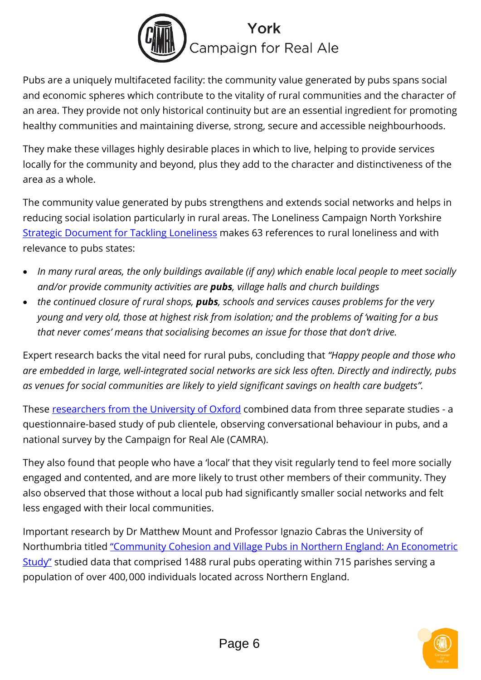

Pubs are a uniquely multifaceted facility: the community value generated by pubs spans social and economic spheres which contribute to the vitality of rural communities and the character of an area. They provide not only historical continuity but are an essential ingredient for promoting healthy communities and maintaining diverse, strong, secure and accessible neighbourhoods.

They make these villages highly desirable places in which to live, helping to provide services locally for the community and beyond, plus they add to the character and distinctiveness of the area as a whole.

The community value generated by pubs strengthens and extends social networks and helps in reducing social isolation particularly in rural areas. The Loneliness Campaign North Yorkshire [Strategic Document for Tackling Loneliness](https://communityfirstyorkshire.org.uk/wp-content/uploads/2020/09/TLC_strategy_report_hi-res_aw.pdf) makes 63 references to rural loneliness and with relevance to pubs states:

- *In many rural areas, the only buildings available (if any) which enable local people to meet socially and/or provide community activities are pubs, village halls and church buildings*
- *the continued closure of rural shops, pubs, schools and services causes problems for the very young and very old, those at highest risk from isolation; and the problems of 'waiting for a bus that never comes' means that socialising becomes an issue for those that don't drive.*

Expert research backs the vital need for rural pubs, concluding that *"Happy people and those who are embedded in large, well-integrated social networks are sick less often. Directly and indirectly, pubs as venues for social communities are likely to yield significant savings on health care budgets".*

These [researchers from the University of Oxford](http://www.ox.ac.uk/news/2017-01-06-your-health-benefits-social-drinking) combined data from three separate studies - a questionnaire-based study of pub clientele, observing conversational behaviour in pubs, and a national survey by the Campaign for Real Ale (CAMRA).

They also found that people who have a 'local' that they visit regularly tend to feel more socially engaged and contented, and are more likely to trust other members of their community. They also observed that those without a local pub had significantly smaller social networks and felt less engaged with their local communities.

Important research by Dr Matthew Mount and Professor Ignazio Cabras the University of Northumbria titled ["Community Cohesion and Village Pubs in Northern England: An Econometric](https://www.tandfonline.com/doi/full/10.1080/00343404.2014.989150)  [Study"](https://www.tandfonline.com/doi/full/10.1080/00343404.2014.989150) studied data that comprised 1488 rural pubs operating within 715 parishes serving a population of over 400, 000 individuals located across Northern England.

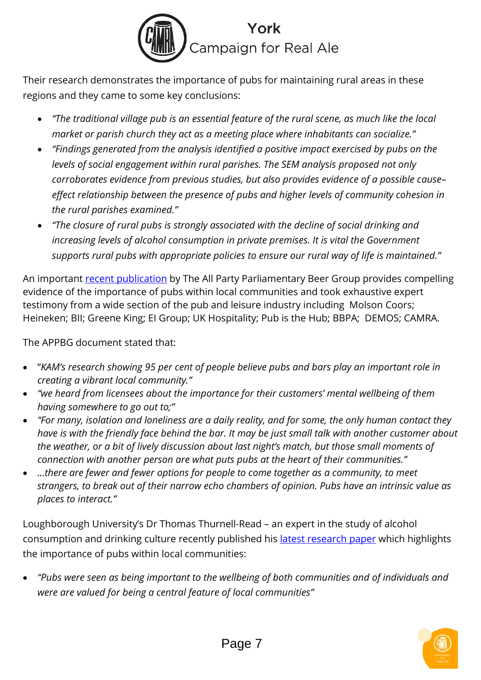

Their research demonstrates the importance of pubs for maintaining rural areas in these regions and they came to some key conclusions:

- *"The traditional village pub is an essential feature of the rural scene, as much like the local market or parish church they act as a meeting place where inhabitants can socialize."*
- *"Findings generated from the analysis identified a positive impact exercised by pubs on the levels of social engagement within rural parishes. The SEM analysis proposed not only corroborates evidence from previous studies, but also provides evidence of a possible cause– effect relationship between the presence of pubs and higher levels of community cohesion in the rural parishes examined."*
- *"The closure of rural pubs is strongly associated with the decline of social drinking and increasing levels of alcohol consumption in private premises. It is vital the Government supports rural pubs with appropriate policies to ensure our rural way of life is maintained."*

An important [recent publication](https://0501.nccdn.net/4_2/000/000/064/d40/appbg_report_feb20-final.pdf) by The All Party Parliamentary Beer Group provides compelling evidence of the importance of pubs within local communities and took exhaustive expert testimony from a wide section of the pub and leisure industry including Molson Coors; Heineken; BII; Greene King; EI Group; UK Hospitality; Pub is the Hub; BBPA; DEMOS; CAMRA.

The APPBG document stated that:

- "*KAM's research showing 95 per cent of people believe pubs and bars play an important role in creating a vibrant local community."*
- *"we heard from licensees about the importance for their customers' mental wellbeing of them having somewhere to go out to;"*
- *"For many, isolation and loneliness are a daily reality, and for some, the only human contact they have is with the friendly face behind the bar. It may be just small talk with another customer about the weather, or a bit of lively discussion about last night's match, but those small moments of connection with another person are what puts pubs at the heart of their communities."*
- *…there are fewer and fewer options for people to come together as a community, to meet strangers, to break out of their narrow echo chambers of opinion. Pubs have an intrinsic value as places to interact."*

Loughborough University's Dr Thomas Thurnell-Read – an expert in the study of alcohol consumption and drinking culture recently published his *latest research paper* which highlights the importance of pubs within local communities:

• *"Pubs were seen as being important to the wellbeing of both communities and of individuals and were are valued for being a central feature of local communities"*

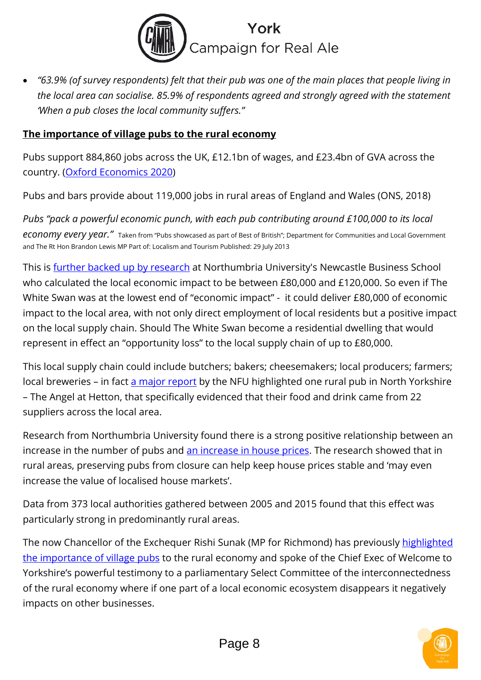

• *"63.9% (of survey respondents) felt that their pub was one of the main places that people living in the local area can socialise. 85.9% of respondents agreed and strongly agreed with the statement 'When a pub closes the local community suffers."*

#### **The importance of village pubs to the rural economy**

Pubs support 884,860 jobs across the UK, £12.1bn of wages, and £23.4bn of GVA across the country. [\(Oxford Economics 2020\)](http://beerandpub.com/wp-content/uploads/2020/09/UK-Beer-and-Pub-Sector-Coronavirus-Scenarios-report_Sep20.pdf)

Pubs and bars provide about 119,000 jobs in rural areas of England and Wales (ONS, 2018)

*Pubs "pack a powerful economic punch, with each pub contributing around £100,000 to its local economy every year."* Taken from "Pubs showcased as part of Best of British"; Department for Communities and Local Government and The Rt Hon Brandon Lewis MP Part of: Localism and Tourism Published: 29 July 2013

This is [further backed up by research](https://rsnonline.org.uk/rural-pubs-are-community-hubs) at Northumbria University's Newcastle Business School who calculated the local economic impact to be between £80,000 and £120,000. So even if The White Swan was at the lowest end of "economic impact" - it could deliver £80,000 of economic impact to the local area, with not only direct employment of local residents but a positive impact on the local supply chain. Should The White Swan become a residential dwelling that would represent in effect an "opportunity loss" to the local supply chain of up to £80,000.

This local supply chain could include butchers; bakers; cheesemakers; local producers; farmers; local breweries – in fact [a major report](http://beerandpub.com/wp-content/uploads/2018/04/Grain-to-Glass-Report.pdf) by the NFU highlighted one rural pub in North Yorkshire – The Angel at Hetton, that specifically evidenced that their food and drink came from 22 suppliers across the local area.

Research from Northumbria University found there is a strong positive relationship between an increase in the number of pubs and [an increase in house prices.](https://www.morningadvertiser.co.uk/Article/2020/02/26/How-do-pubs-impact-house-prices-in-the-countryside) The research showed that in rural areas, preserving pubs from closure can help keep house prices stable and 'may even increase the value of localised house markets'.

Data from 373 local authorities gathered between 2005 and 2015 found that this effect was particularly strong in predominantly rural areas.

The now Chancellor of the Exchequer Rishi Sunak (MP for Richmond) has previously highlighted [the importance of village pubs](https://www.darlingtonandstocktontimes.co.uk/opinion/14928316.pubs-can-be-a-key-part-of-the-rural-economy/) to the rural economy and spoke of the Chief Exec of Welcome to Yorkshire's powerful testimony to a parliamentary Select Committee of the interconnectedness of the rural economy where if one part of a local economic ecosystem disappears it negatively impacts on other businesses.

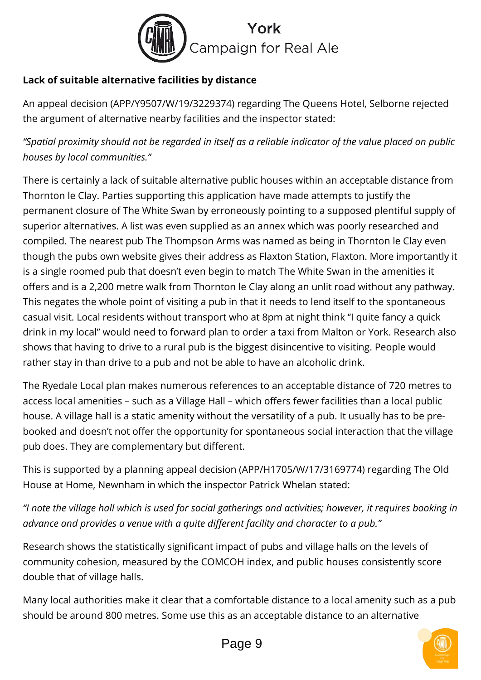

## **Lack of suitable alternative facilities by distance**

An appeal decision (APP/Y9507/W/19/3229374) regarding The Queens Hotel, Selborne rejected the argument of alternative nearby facilities and the inspector stated:

*"Spatial proximity should not be regarded in itself as a reliable indicator of the value placed on public houses by local communities."*

There is certainly a lack of suitable alternative public houses within an acceptable distance from Thornton le Clay. Parties supporting this application have made attempts to justify the permanent closure of The White Swan by erroneously pointing to a supposed plentiful supply of superior alternatives. A list was even supplied as an annex which was poorly researched and compiled. The nearest pub The Thompson Arms was named as being in Thornton le Clay even though the pubs own website gives their address as Flaxton Station, Flaxton. More importantly it is a single roomed pub that doesn't even begin to match The White Swan in the amenities it offers and is a 2,200 metre walk from Thornton le Clay along an unlit road without any pathway. This negates the whole point of visiting a pub in that it needs to lend itself to the spontaneous casual visit. Local residents without transport who at 8pm at night think "I quite fancy a quick drink in my local" would need to forward plan to order a taxi from Malton or York. Research also shows that having to drive to a rural pub is the biggest disincentive to visiting. People would rather stay in than drive to a pub and not be able to have an alcoholic drink.

The Ryedale Local plan makes numerous references to an acceptable distance of 720 metres to access local amenities – such as a Village Hall – which offers fewer facilities than a local public house. A village hall is a static amenity without the versatility of a pub. It usually has to be prebooked and doesn't not offer the opportunity for spontaneous social interaction that the village pub does. They are complementary but different.

This is supported by a planning appeal decision (APP/H1705/W/17/3169774) regarding The Old House at Home, Newnham in which the inspector Patrick Whelan stated:

*"I note the village hall which is used for social gatherings and activities; however, it requires booking in advance and provides a venue with a quite different facility and character to a pub."*

Research shows the statistically significant impact of pubs and village halls on the levels of community cohesion, measured by the COMCOH index, and public houses consistently score double that of village halls.

Many local authorities make it clear that a comfortable distance to a local amenity such as a pub should be around 800 metres. Some use this as an acceptable distance to an alternative

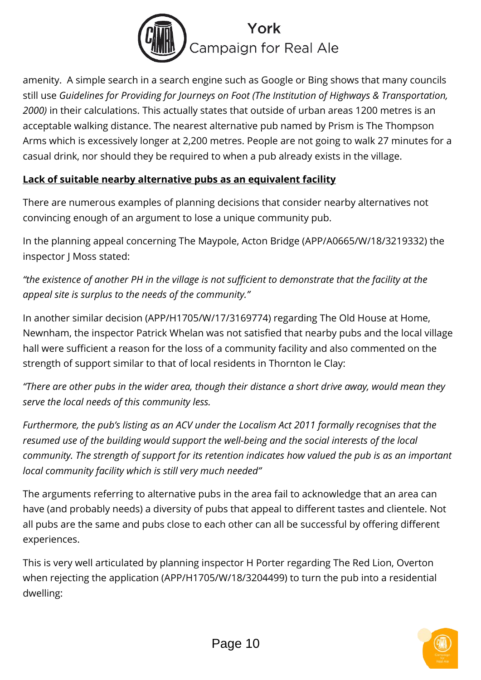

amenity. A simple search in a search engine such as Google or Bing shows that many councils still use *Guidelines for Providing for Journeys on Foot (The Institution of Highways & Transportation, 2000)* in their calculations. This actually states that outside of urban areas 1200 metres is an acceptable walking distance. The nearest alternative pub named by Prism is The Thompson Arms which is excessively longer at 2,200 metres. People are not going to walk 27 minutes for a casual drink, nor should they be required to when a pub already exists in the village.

### **Lack of suitable nearby alternative pubs as an equivalent facility**

There are numerous examples of planning decisions that consider nearby alternatives not convincing enough of an argument to lose a unique community pub.

In the planning appeal concerning The Maypole, Acton Bridge (APP/A0665/W/18/3219332) the inspector J Moss stated:

*"the existence of another PH in the village is not sufficient to demonstrate that the facility at the appeal site is surplus to the needs of the community."*

In another similar decision (APP/H1705/W/17/3169774) regarding The Old House at Home, Newnham, the inspector Patrick Whelan was not satisfied that nearby pubs and the local village hall were sufficient a reason for the loss of a community facility and also commented on the strength of support similar to that of local residents in Thornton le Clay:

*"There are other pubs in the wider area, though their distance a short drive away, would mean they serve the local needs of this community less.*

*Furthermore, the pub's listing as an ACV under the Localism Act 2011 formally recognises that the resumed use of the building would support the well-being and the social interests of the local community. The strength of support for its retention indicates how valued the pub is as an important local community facility which is still very much needed"*

The arguments referring to alternative pubs in the area fail to acknowledge that an area can have (and probably needs) a diversity of pubs that appeal to different tastes and clientele. Not all pubs are the same and pubs close to each other can all be successful by offering different experiences.

This is very well articulated by planning inspector H Porter regarding The Red Lion, Overton when rejecting the application (APP/H1705/W/18/3204499) to turn the pub into a residential dwelling:

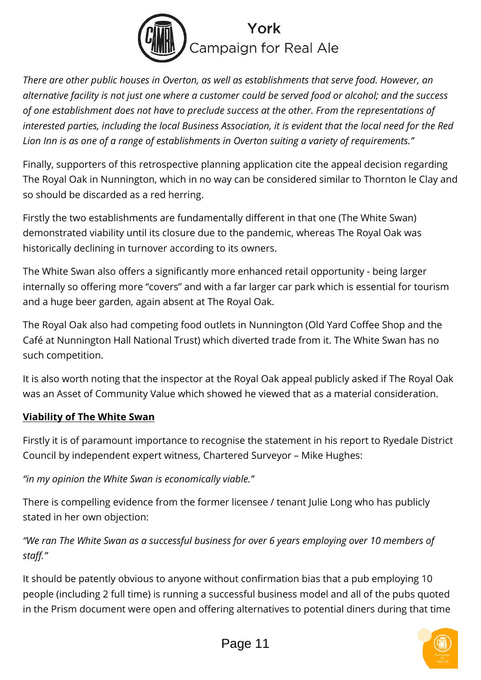

*There are other public houses in Overton, as well as establishments that serve food. However, an alternative facility is not just one where a customer could be served food or alcohol; and the success of one establishment does not have to preclude success at the other. From the representations of interested parties, including the local Business Association, it is evident that the local need for the Red Lion Inn is as one of a range of establishments in Overton suiting a variety of requirements."*

Finally, supporters of this retrospective planning application cite the appeal decision regarding The Royal Oak in Nunnington, which in no way can be considered similar to Thornton le Clay and so should be discarded as a red herring.

Firstly the two establishments are fundamentally different in that one (The White Swan) demonstrated viability until its closure due to the pandemic, whereas The Royal Oak was historically declining in turnover according to its owners.

The White Swan also offers a significantly more enhanced retail opportunity - being larger internally so offering more "covers" and with a far larger car park which is essential for tourism and a huge beer garden, again absent at The Royal Oak.

The Royal Oak also had competing food outlets in Nunnington (Old Yard Coffee Shop and the Café at Nunnington Hall National Trust) which diverted trade from it. The White Swan has no such competition.

It is also worth noting that the inspector at the Royal Oak appeal publicly asked if The Royal Oak was an Asset of Community Value which showed he viewed that as a material consideration.

### **Viability of The White Swan**

Firstly it is of paramount importance to recognise the statement in his report to Ryedale District Council by independent expert witness, Chartered Surveyor – Mike Hughes:

*"in my opinion the White Swan is economically viable."*

There is compelling evidence from the former licensee / tenant Julie Long who has publicly stated in her own objection:

*"We ran The White Swan as a successful business for over 6 years employing over 10 members of staff."*

It should be patently obvious to anyone without confirmation bias that a pub employing 10 people (including 2 full time) is running a successful business model and all of the pubs quoted in the Prism document were open and offering alternatives to potential diners during that time

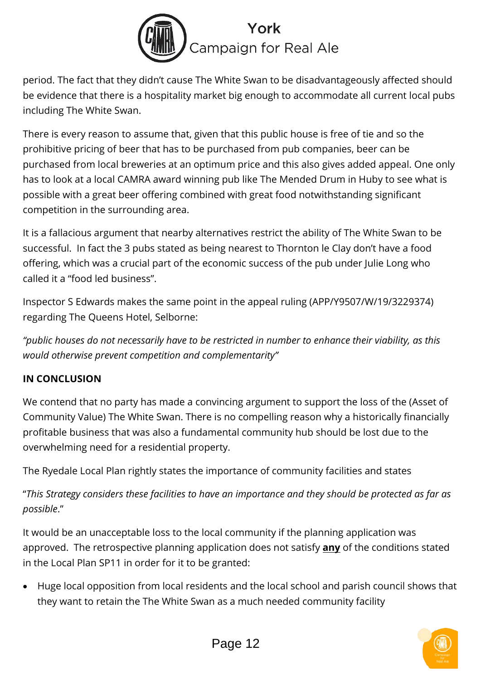

period. The fact that they didn't cause The White Swan to be disadvantageously affected should be evidence that there is a hospitality market big enough to accommodate all current local pubs including The White Swan.

There is every reason to assume that, given that this public house is free of tie and so the prohibitive pricing of beer that has to be purchased from pub companies, beer can be purchased from local breweries at an optimum price and this also gives added appeal. One only has to look at a local CAMRA award winning pub like The Mended Drum in Huby to see what is possible with a great beer offering combined with great food notwithstanding significant competition in the surrounding area.

It is a fallacious argument that nearby alternatives restrict the ability of The White Swan to be successful. In fact the 3 pubs stated as being nearest to Thornton le Clay don't have a food offering, which was a crucial part of the economic success of the pub under Julie Long who called it a "food led business".

Inspector S Edwards makes the same point in the appeal ruling (APP/Y9507/W/19/3229374) regarding The Queens Hotel, Selborne:

*"public houses do not necessarily have to be restricted in number to enhance their viability, as this would otherwise prevent competition and complementarity"*

### **IN CONCLUSION**

We contend that no party has made a convincing argument to support the loss of the (Asset of Community Value) The White Swan. There is no compelling reason why a historically financially profitable business that was also a fundamental community hub should be lost due to the overwhelming need for a residential property.

The Ryedale Local Plan rightly states the importance of community facilities and states

"*This Strategy considers these facilities to have an importance and they should be protected as far as possible*."

It would be an unacceptable loss to the local community if the planning application was approved. The retrospective planning application does not satisfy **any** of the conditions stated in the Local Plan SP11 in order for it to be granted:

• Huge local opposition from local residents and the local school and parish council shows that they want to retain the The White Swan as a much needed community facility